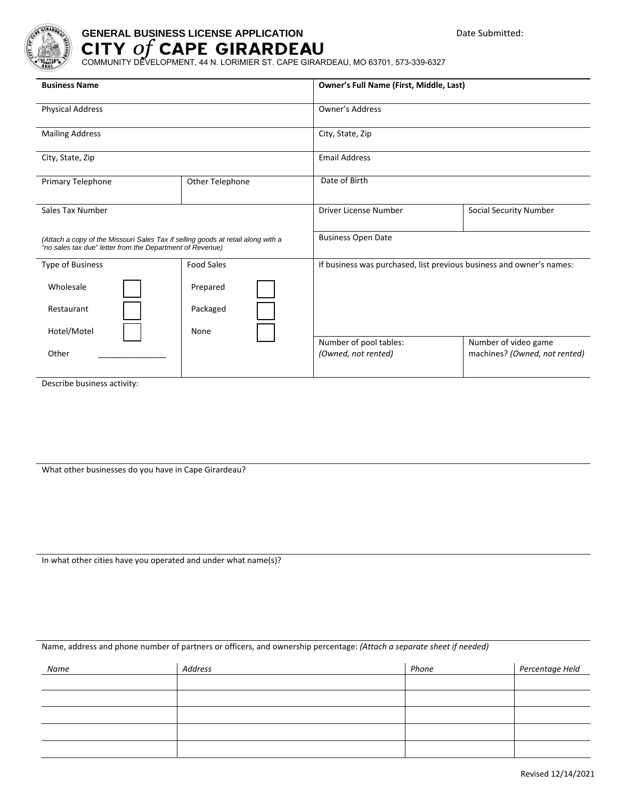

## **GENERAL BUSINESS LICENSE APPLICATION**

COMMUNITY DEVELOPMENT, 44 N. LORIMIER ST. CAPE GIRARDEAU, MO 63701, 573-339-6327

| <b>Business Name</b>                                                                                                                          |                   | <b>Owner's Full Name (First, Middle, Last)</b>                       |                                                       |  |
|-----------------------------------------------------------------------------------------------------------------------------------------------|-------------------|----------------------------------------------------------------------|-------------------------------------------------------|--|
| <b>Physical Address</b>                                                                                                                       |                   | Owner's Address                                                      |                                                       |  |
| <b>Mailing Address</b>                                                                                                                        |                   | City, State, Zip                                                     |                                                       |  |
| City, State, Zip                                                                                                                              |                   | <b>Email Address</b>                                                 |                                                       |  |
| Primary Telephone                                                                                                                             | Other Telephone   | Date of Birth                                                        |                                                       |  |
| Sales Tax Number                                                                                                                              |                   | Driver License Number                                                | Social Security Number                                |  |
| (Attach a copy of the Missouri Sales Tax if selling goods at retail along with a<br>"no sales tax due" letter from the Department of Revenue) |                   | <b>Business Open Date</b>                                            |                                                       |  |
| Type of Business                                                                                                                              | <b>Food Sales</b> | If business was purchased, list previous business and owner's names: |                                                       |  |
| Wholesale                                                                                                                                     | Prepared          |                                                                      |                                                       |  |
| Restaurant                                                                                                                                    | Packaged          |                                                                      |                                                       |  |
| Hotel/Motel                                                                                                                                   | None              |                                                                      |                                                       |  |
| Other                                                                                                                                         |                   | Number of pool tables:<br>(Owned, not rented)                        | Number of video game<br>machines? (Owned, not rented) |  |
|                                                                                                                                               |                   |                                                                      |                                                       |  |

Describe business activity:

What other businesses do you have in Cape Girardeau?

In what other cities have you operated and under what name(s)?

Name, address and phone number of partners or officers, and ownership percentage: *(Attach a separate sheet if needed)*

| Name | Address | Phone | Percentage Held |
|------|---------|-------|-----------------|
|      |         |       |                 |
|      |         |       |                 |
|      |         |       |                 |
|      |         |       |                 |
|      |         |       |                 |